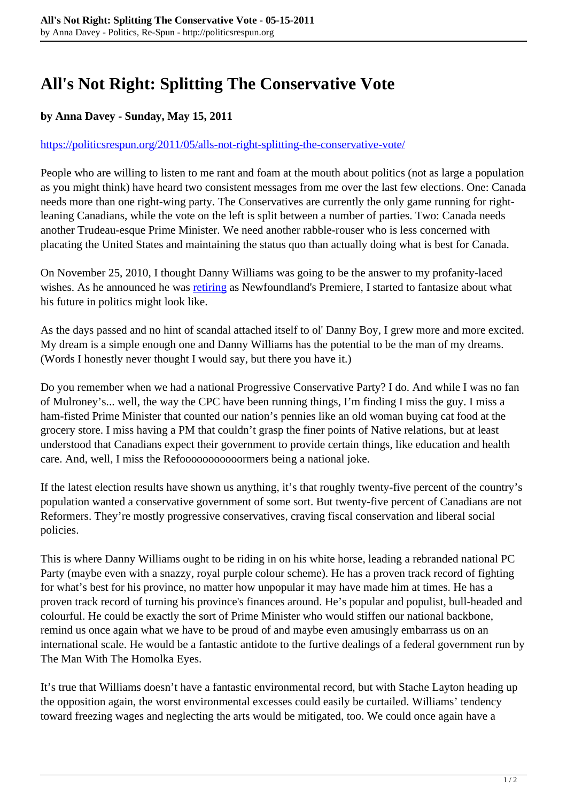## **All's Not Right: Splitting The Conservative Vote**

## **by Anna Davey - Sunday, May 15, 2011**

## <https://politicsrespun.org/2011/05/alls-not-right-splitting-the-conservative-vote/>

People who are willing to listen to me rant and foam at the mouth about politics (not as large a population as you might think) have heard two consistent messages from me over the last few elections. One: Canada needs more than one right-wing party. The Conservatives are currently the only game running for rightleaning Canadians, while the vote on the left is split between a number of parties. Two: Canada needs another Trudeau-esque Prime Minister. We need another rabble-rouser who is less concerned with placating the United States and maintaining the status quo than actually doing what is best for Canada.

On November 25, 2010, I thought Danny Williams was going to be the answer to my profanity-laced wishes. As he announced he was **[retiring](http://www.cbc.ca/news/canada/newfoundland-labrador/story/2010/11/25/nl-williams-future-1125.html)** as Newfoundland's Premiere, I started to fantasize about what his future in politics might look like.

As the days passed and no hint of scandal attached itself to ol' Danny Boy, I grew more and more excited. My dream is a simple enough one and Danny Williams has the potential to be the man of my dreams. (Words I honestly never thought I would say, but there you have it.)

Do you remember when we had a national Progressive Conservative Party? I do. And while I was no fan of Mulroney's... well, the way the CPC have been running things, I'm finding I miss the guy. I miss a ham-fisted Prime Minister that counted our nation's pennies like an old woman buying cat food at the grocery store. I miss having a PM that couldn't grasp the finer points of Native relations, but at least understood that Canadians expect their government to provide certain things, like education and health care. And, well, I miss the Refooooooooooormers being a national joke.

If the latest election results have shown us anything, it's that roughly twenty-five percent of the country's population wanted a conservative government of some sort. But twenty-five percent of Canadians are not Reformers. They're mostly progressive conservatives, craving fiscal conservation and liberal social policies.

This is where Danny Williams ought to be riding in on his white horse, leading a rebranded national PC Party (maybe even with a snazzy, royal purple colour scheme). He has a proven track record of fighting for what's best for his province, no matter how unpopular it may have made him at times. He has a proven track record of turning his province's finances around. He's popular and populist, bull-headed and colourful. He could be exactly the sort of Prime Minister who would stiffen our national backbone, remind us once again what we have to be proud of and maybe even amusingly embarrass us on an international scale. He would be a fantastic antidote to the furtive dealings of a federal government run by The Man With The Homolka Eyes.

It's true that Williams doesn't have a fantastic environmental record, but with Stache Layton heading up the opposition again, the worst environmental excesses could easily be curtailed. Williams' tendency toward freezing wages and neglecting the arts would be mitigated, too. We could once again have a